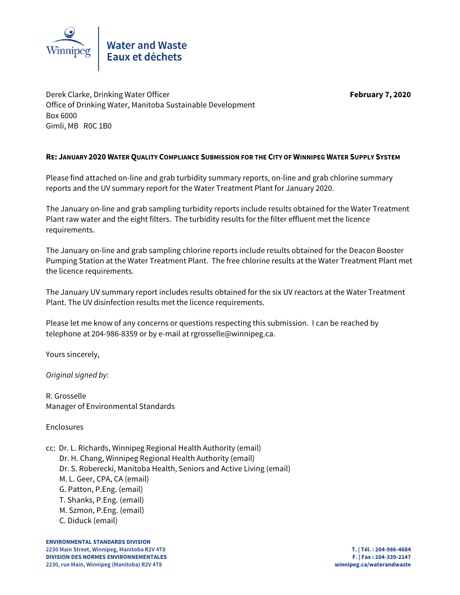

Derek Clarke, Drinking Water Officer **February 7, 2020** Office of Drinking Water, Manitoba Sustainable Development Box 6000 Gimli, MB R0C 1B0

# **RE: JANUARY 2020 WATER QUALITY COMPLIANCE SUBMISSION FOR THE CITY OF WINNIPEG WATER SUPPLY SYSTEM**

Please find attached on-line and grab turbidity summary reports, on-line and grab chlorine summary reports and the UV summary report for the Water Treatment Plant for January 2020.

The January on-line and grab sampling turbidity reports include results obtained for the Water Treatment Plant raw water and the eight filters. The turbidity results for the filter effluent met the licence requirements.

The January on-line and grab sampling chlorine reports include results obtained for the Deacon Booster Pumping Station at the Water Treatment Plant. The free chlorine results at the Water Treatment Plant met the licence requirements.

The January UV summary report includes results obtained for the six UV reactors at the Water Treatment Plant. The UV disinfection results met the licence requirements.

Please let me know of any concerns or questions respecting this submission. I can be reached by telephone at 204-986-8359 or by e-mail at rgrosselle@winnipeg.ca.

Yours sincerely,

Original signed by:

R. Grosselle Manager of Environmental Standards

Enclosures

cc: Dr. L. Richards, Winnipeg Regional Health Authority (email)

Dr. H. Chang, Winnipeg Regional Health Authority (email)

- Dr. S. Roberecki, Manitoba Health, Seniors and Active Living (email)
- M. L. Geer, CPA, CA (email)
- G. Patton, P.Eng. (email)
- T. Shanks, P.Eng. (email)
- M. Szmon, P.Eng. (email)
- C. Diduck (email)

**ENVIRONMENTAL STANDARDS DIVISION 2230 Main Street, Winnipeg, Manitoba R2V 4T8 T. | Tél. : 204-986-4684 DIVISION DES NORMES ENVIRONNEMENTALES F. | Fax : 204-339-2147 2230, rue Main, Winnipeg (Manitoba) R2V 4T8 winnipeg.ca/waterandwaste**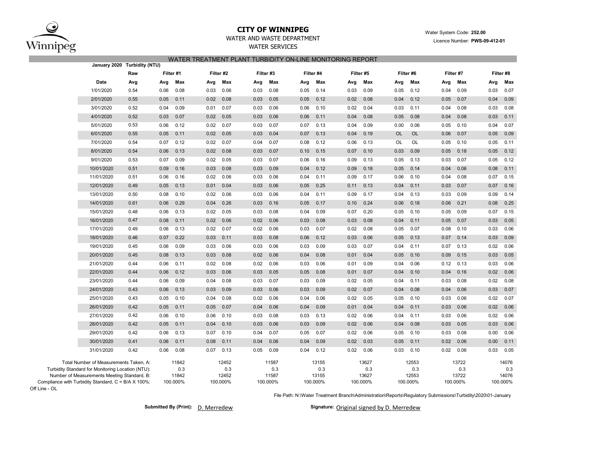

### **CITY OF WINNIPEG**WATER AND WASTE DEPARTMENT

## WATER SERVICES WATER TREATMENT PLANT TURBIDITY ON-LINE MONITORING REPORT

|                                                                                                                                            | January 2020 Turbidity (NTU) |           |                       |      |                       |           |                       |      |                       |      |                       |      |                       |      |                       |      |                       |
|--------------------------------------------------------------------------------------------------------------------------------------------|------------------------------|-----------|-----------------------|------|-----------------------|-----------|-----------------------|------|-----------------------|------|-----------------------|------|-----------------------|------|-----------------------|------|-----------------------|
|                                                                                                                                            | Raw                          | Filter #1 |                       |      | Filter #2             | Filter #3 |                       |      | Filter #4             |      | Filter #5             |      | Filter #6             |      | Filter #7             |      | Filter #8             |
| Date                                                                                                                                       | Avg                          | Avg       | Max                   | Avg  | Max                   | Avg       | Max                   | Avg  | Max                   | Avg  | Max                   | Avg  | Max                   | Avg  | Max                   | Avg  | Max                   |
| 1/01/2020                                                                                                                                  | 0.54                         | 0.06      | 0.08                  | 0.03 | 0.06                  | 0.03      | 0.08                  | 0.05 | 0.14                  | 0.03 | 0.09                  | 0.05 | 0.12                  | 0.04 | 0.09                  | 0.03 | 0.07                  |
| 2/01/2020                                                                                                                                  | 0.55                         | 0.05      | 0.11                  | 0.02 | 0.08                  | 0.03      | 0.05                  | 0.05 | 0.12                  | 0.02 | 0.08                  | 0.04 | 0.12                  | 0.05 | 0.07                  | 0.04 | 0.09                  |
| 3/01/2020                                                                                                                                  | 0.52                         | 0.04      | 0.09                  | 0.01 | 0.07                  | 0.03      | 0.06                  | 0.06 | 0.10                  | 0.02 | 0.04                  | 0.03 | 0.11                  | 0.04 | 0.08                  | 0.03 | 0.08                  |
| 4/01/2020                                                                                                                                  | 0.52                         | 0.03      | 0.07                  | 0.02 | 0.05                  | 0.03      | 0.06                  | 0.06 | 0.11                  | 0.04 | 0.08                  | 0.05 | 0.08                  | 0.04 | 0.08                  | 0.03 | 0.11                  |
| 5/01/2020                                                                                                                                  | 0.53                         | 0.06      | 0.12                  | 0.02 | 0.07                  | 0.03      | 0.07                  | 0.07 | 0.13                  | 0.04 | 0.09                  | 0.00 | 0.06                  | 0.05 | 0.10                  | 0.04 | 0.07                  |
| 6/01/2020                                                                                                                                  | 0.55                         | 0.05      | 0.11                  | 0.02 | 0.05                  | 0.03      | 0.04                  | 0.07 | 0.13                  | 0.04 | 0.19                  | OL   | OL                    | 0.06 | 0.07                  | 0.05 | 0.09                  |
| 7/01/2020                                                                                                                                  | 0.54                         | 0.07      | 0.12                  | 0.02 | 0.07                  | 0.04      | 0.07                  | 0.08 | 0.12                  | 0.06 | 0.13                  | OL   | OL                    | 0.05 | 0.10                  | 0.05 | 0.11                  |
| 8/01/2020                                                                                                                                  | 0.54                         | 0.06      | 0.13                  | 0.02 | 0.08                  | 0.03      | 0.07                  | 0.10 | 0.15                  | 0.07 | 0.10                  | 0.03 | 0.09                  | 0.05 | 0.18                  | 0.05 | 0.12                  |
| 9/01/2020                                                                                                                                  | 0.53                         | 0.07      | 0.09                  | 0.02 | 0.05                  | 0.03      | 0.07                  | 0.06 | 0.16                  | 0.09 | 0.13                  | 0.05 | 0.13                  | 0.03 | 0.07                  | 0.05 | 0.12                  |
| 10/01/2020                                                                                                                                 | 0.51                         | 0.09      | 0.16                  | 0.03 | 0.08                  | 0.03      | 0.09                  | 0.04 | 0.12                  | 0.09 | 0.18                  | 0.05 | 0.14                  | 0.04 | 0.06                  | 0.08 | 0.11                  |
| 11/01/2020                                                                                                                                 | 0.51                         | 0.06      | 0.16                  | 0.02 | 0.06                  | 0.03      | 0.06                  | 0.04 | 0.11                  | 0.09 | 0.17                  | 0.06 | 0.10                  | 0.04 | 0.08                  | 0.07 | 0.15                  |
| 12/01/2020                                                                                                                                 | 0.49                         | 0.05      | 0.13                  | 0.01 | 0.04                  | 0.03      | 0.06                  | 0.05 | 0.25                  | 0.11 | 0.13                  | 0.04 | 0.11                  | 0.03 | 0.07                  | 0.07 | 0.16                  |
| 13/01/2020                                                                                                                                 | 0.50                         | 0.08      | 0.10                  | 0.02 | 0.06                  | 0.03      | 0.06                  | 0.04 | 0.11                  | 0.09 | 0.17                  | 0.04 | 0.13                  | 0.03 | 0.09                  | 0.09 | 0.14                  |
| 14/01/2020                                                                                                                                 | 0.61                         | 0.06      | 0.29                  | 0.04 | 0.26                  | 0.03      | 0.16                  | 0.05 | 0.17                  | 0.10 | 0.24                  | 0.06 | 0.18                  | 0.06 | 0.21                  | 0.08 | 0.25                  |
| 15/01/2020                                                                                                                                 | 0.48                         | 0.06      | 0.13                  | 0.02 | 0.05                  | 0.03      | 0.08                  | 0.04 | 0.09                  | 0.07 | 0.20                  | 0.05 | 0.10                  | 0.05 | 0.09                  | 0.07 | 0.15                  |
| 16/01/2020                                                                                                                                 | 0.47                         | 0.08      | 0.11                  | 0.02 | 0.06                  | 0.02      | 0.06                  | 0.03 | 0.08                  | 0.03 | 0.08                  | 0.04 | 0.11                  | 0.05 | 0.07                  | 0.03 | 0.05                  |
| 17/01/2020                                                                                                                                 | 0.49                         | 0.06      | 0.13                  | 0.02 | 0.07                  | 0.02      | 0.06                  | 0.03 | 0.07                  | 0.02 | 0.08                  | 0.05 | 0.07                  | 0.08 | 0.10                  | 0.03 | 0.06                  |
| 18/01/2020                                                                                                                                 | 0.46                         | 0.07      | 0.22                  | 0.03 | 0.11                  | 0.03      | 0.08                  | 0.06 | 0.12                  | 0.03 | 0.06                  | 0.05 | 0.13                  | 0.07 | 0.14                  | 0.03 | 0.09                  |
| 19/01/2020                                                                                                                                 | 0.45                         | 0.06      | 0.09                  | 0.03 | 0.06                  | 0.03      | 0.06                  | 0.03 | 0.09                  | 0.03 | 0.07                  | 0.04 | 0.11                  | 0.07 | 0.13                  | 0.02 | 0.06                  |
| 20/01/2020                                                                                                                                 | 0.45                         | 0.08      | 0.13                  | 0.03 | 0.08                  | 0.02      | 0.06                  | 0.04 | 0.08                  | 0.01 | 0.04                  | 0.05 | 0.10                  | 0.09 | 0.15                  | 0.03 | 0.05                  |
| 21/01/2020                                                                                                                                 | 0.44                         | 0.06      | 0.11                  | 0.02 | 0.08                  | 0.02      | 0.06                  | 0.03 | 0.06                  | 0.01 | 0.09                  | 0.04 | 0.06                  | 0.12 | 0.13                  | 0.03 | 0.06                  |
| 22/01/2020                                                                                                                                 | 0.44                         | 0.06      | 0.12                  | 0.03 | 0.06                  | 0.03      | 0.05                  | 0.05 | 0.08                  | 0.01 | 0.07                  | 0.04 | 0.10                  | 0.04 | 0.16                  | 0.02 | 0.06                  |
| 23/01/2020                                                                                                                                 | 0.44                         | 0.06      | 0.09                  | 0.04 | 0.08                  | 0.03      | 0.07                  | 0.03 | 0.09                  | 0.02 | 0.05                  | 0.04 | 0.11                  | 0.03 | 0.08                  | 0.02 | 0.08                  |
| 24/01/2020                                                                                                                                 | 0.43                         | 0.06      | 0.13                  | 0.03 | 0.09                  | 0.03      | 0.06                  | 0.03 | 0.09                  | 0.02 | 0.07                  | 0.04 | 0.08                  | 0.04 | 0.06                  | 0.03 | 0.07                  |
| 25/01/2020                                                                                                                                 | 0.43                         | 0.05      | 0.10                  | 0.04 | 0.08                  | 0.02      | 0.06                  | 0.04 | 0.06                  | 0.02 | 0.05                  | 0.05 | 0.10                  | 0.03 | 0.06                  | 0.02 | 0.07                  |
| 26/01/2020                                                                                                                                 | 0.42                         | 0.05      | 0.11                  | 0.05 | 0.07                  | 0.04      | 0.06                  | 0.04 | 0.09                  | 0.01 | 0.04                  | 0.04 | 0.11                  | 0.03 | 0.06                  | 0.02 | 0.06                  |
| 27/01/2020                                                                                                                                 | 0.42                         | 0.06      | 0.10                  | 0.06 | 0.10                  | 0.03      | 0.08                  | 0.03 | 0.13                  | 0.02 | 0.06                  | 0.04 | 0.11                  | 0.03 | 0.06                  | 0.02 | 0.06                  |
| 28/01/2020                                                                                                                                 | 0.42                         | 0.05      | 0.11                  | 0.04 | 0.10                  | 0.03      | 0.06                  | 0.03 | 0.09                  | 0.02 | 0.06                  | 0.04 | 0.08                  | 0.03 | 0.05                  | 0.03 | 0.06                  |
| 29/01/2020                                                                                                                                 | 0.42                         | 0.06      | 0.13                  | 0.07 | 0.10                  | 0.04      | 0.07                  | 0.05 | 0.07                  | 0.02 | 0.06                  | 0.05 | 0.10                  | 0.03 | 0.08                  | 0.00 | 0.06                  |
| 30/01/2020                                                                                                                                 | 0.41                         | 0.06      | 0.11                  | 0.08 | 0.11                  | 0.04      | 0.06                  | 0.04 | 0.09                  | 0.02 | 0.03                  | 0.05 | 0.11                  | 0.02 | 0.06                  | 0.00 | 0.11                  |
| 31/01/2020                                                                                                                                 | 0.42                         | 0.06      | 0.08                  | 0.07 | 0.13                  | 0.05      | 0.09                  | 0.04 | 0.12                  | 0.02 | 0.06                  | 0.03 | 0.10                  | 0.02 | 0.06                  | 0.03 | 0.05                  |
| Total Number of Measurements Taken, A:<br>Turbidity Standard for Monitoring Location (NTU):<br>Number of Measurements Meeting Standard, B: |                              |           | 11842<br>0.3<br>11842 |      | 12452<br>0.3<br>12452 |           | 11587<br>0.3<br>11587 |      | 13155<br>0.3<br>13155 |      | 13627<br>0.3<br>13627 |      | 12553<br>0.3<br>12553 |      | 13722<br>0.3<br>13722 |      | 14076<br>0.3<br>14076 |
| Compliance with Turbidity Standard, C = B/A X 100%:                                                                                        |                              |           | 100.000%              |      | 100.000%              |           | 100.000%              |      | 100.000%              |      | 100.000%              |      | 100.000%              |      | 100.000%              |      | 100.000%              |

Off Line - OL

File Path: N:\Water Treatment Branch\Administration\Reports\Regulatory Submissions\Turbidity\2020\01-January

**Submitted By (Print):** D. Merredew

Signature: Original signed by D. Merredew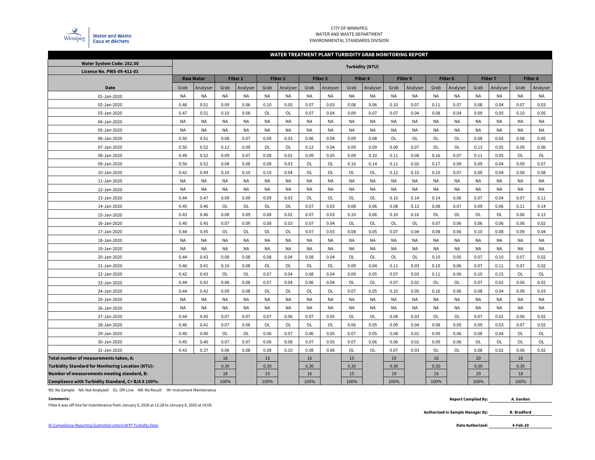

#### CITY OF WINNIPEG WATER AND WASTE DEPARTMENTENVIRONMENTAL STANDARDS DIVISION

#### **WATER TREATMENT PLANT TURBIDITY GRAB MONITORING REPORT**

| Water System Code: 252.00                                |           |           |                                     |           |           |                        |           |           |           |                 |           |           |           |           |           |                 |           |                 |
|----------------------------------------------------------|-----------|-----------|-------------------------------------|-----------|-----------|------------------------|-----------|-----------|-----------|-----------------|-----------|-----------|-----------|-----------|-----------|-----------------|-----------|-----------------|
| Licence No. PWS-09-412-01                                |           |           |                                     |           |           | <b>Turbidity (NTU)</b> |           |           |           |                 |           |           |           |           |           |                 |           |                 |
|                                                          |           |           | <b>Raw Water</b><br><b>Filter 1</b> |           | Filter 2  |                        |           | Filter 3  |           | <b>Filter 4</b> |           | Filter 5  |           | Filter 6  |           | <b>Filter 7</b> |           | <b>Filter 8</b> |
| Date                                                     | Grab      | Analyser  | Grab                                | Analyser  | Grab      | Analyser               | Grab      | Analyser  | Grab      | Analyser        | Grab      | Analyser  | Grab      | Analyser  | Grab      | Analyser        | Grab      | Analyser        |
| 01-Jan-2020                                              | <b>NA</b> | NA        | NA                                  | NA        | <b>NA</b> | <b>NA</b>              | NA        | NA        | <b>NA</b> | NA              | <b>NA</b> | NA        | NA        | <b>NA</b> | <b>NA</b> | <b>NA</b>       | <b>NA</b> | <b>NA</b>       |
| 02-Jan-2020                                              | 0.46      | 0.51      | 0.09                                | 0.06      | 0.10      | 0.05                   | 0.07      | 0.03      | 0.08      | 0.06            | 0.10      | 0.07      | 0.11      | 0.07      | 0.08      | 0.04            | 0.07      | 0.03            |
| 03-Jan-2020                                              | 0.47      | 0.51      | 0.10                                | 0.08      | OL        | OL                     | 0.07      | 0.04      | 0.09      | 0.07            | 0.07      | 0.04      | 0.08      | 0.04      | 0.09      | 0.05            | 0.10      | 0.05            |
| 04-Jan-2020                                              | <b>NA</b> | <b>NA</b> | <b>NA</b>                           | NA        | <b>NA</b> | <b>NA</b>              | <b>NA</b> | <b>NA</b> | <b>NA</b> | <b>NA</b>       | <b>NA</b> | NA        | <b>NA</b> | <b>NA</b> | <b>NA</b> | <b>NA</b>       | <b>NA</b> | <b>NA</b>       |
| 05-Jan-2020                                              | <b>NA</b> | <b>NA</b> | NA                                  | <b>NA</b> | <b>NA</b> | <b>NA</b>              | <b>NA</b> | <b>NA</b> | <b>NA</b> | <b>NA</b>       | <b>NA</b> | NA        | NA        | <b>NA</b> | <b>NA</b> | <b>NA</b>       | <b>NA</b> | <b>NA</b>       |
| 06-Jan-2020                                              | 0.50      | 0.51      | 0.08                                | 0.07      | 0.09      | 0.03                   | 0.06      | 0.04      | 0.09      | 0.08            | <b>OL</b> | <b>OL</b> | <b>OL</b> | <b>OL</b> | 0.08      | 0.05            | 0.08      | 0.05            |
| 07-Jan-2020                                              | 0.50      | 0.52      | 0.12                                | 0.09      | OL        | OL                     | 0.12      | 0.04      | 0.09      | 0.09            | 0.09      | 0.07      | <b>OL</b> | OL        | 0.13      | 0.05            | 0.09      | 0.06            |
| 08-Jan-2020                                              | 0.49      | 0.52      | 0.09                                | 0.07      | 0.08      | 0.02                   | 0.09      | 0.05      | 0.09      | 0.10            | 0.11      | 0.08      | 0.16      | 0.07      | 0.11      | 0.05            | OL        | OL              |
| 09-Jan-2020                                              | 0.50      | 0.52      | 0.08                                | 0.08      | 0.08      | 0.03                   | OL        | OL        | 0.10      | 0.14            | 0.11      | 0.02      | 0.17      | 0.09      | 0.09      | 0.04            | 0.09      | 0.07            |
| 10-Jan-2020                                              | 0.42      | 0.49      | 0.10                                | 0.10      | 0.10      | 0.04                   | OL        | OL        | OL        | OL              | 0.12      | 0.15      | 0.10      | 0.07      | 0.09      | 0.04            | 0.08      | 0.08            |
| 11-Jan-2020                                              | <b>NA</b> | <b>NA</b> | NA                                  | <b>NA</b> | <b>NA</b> | <b>NA</b>              | <b>NA</b> | NA        | <b>NA</b> | NA              | <b>NA</b> | NA        | <b>NA</b> | <b>NA</b> | <b>NA</b> | <b>NA</b>       | <b>NA</b> | <b>NA</b>       |
| 12-Jan-2020                                              | <b>NA</b> | NA        | <b>NA</b>                           | <b>NA</b> | <b>NA</b> | <b>NA</b>              | <b>NA</b> | NA        | <b>NA</b> | NA              | <b>NA</b> | NA        | <b>NA</b> | <b>NA</b> | <b>NA</b> | <b>NA</b>       | <b>NA</b> | <b>NA</b>       |
| 13-Jan-2020                                              | 0.44      | 0.47      | 0.09                                | 0.09      | 0.09      | 0.03                   | <b>OL</b> | OL        | OL        | OL              | 0.10      | 0.14      | 0.14      | 0.06      | 0.07      | 0.04            | 0.07      | 0.11            |
| 14-Jan-2020                                              | 0.45      | 0.46      | OL                                  | OL        | OL        | OL                     | 0.07      | 0.03      | 0.08      | 0.06            | 0.08      | 0.13      | 0.08      | 0.07      | 0.09      | 0.06            | 0.11      | 0.14            |
| 15-Jan-2020                                              | 0.43      | 0.46      | 0.08                                | 0.09      | 0.08      | 0.02                   | 0.07      | 0.03      | 0.10      | 0.06            | 0.10      | 0.16      | OL        | OL        | OL        | OL              | 0.06      | 0.13            |
| 16-Jan-2020                                              | 0.40      | 0.45      | 0.07                                | 0.09      | 0.08      | 0.03                   | 0.07      | 0.04      | OL        | OL              | OL        | OL        | 0.07      | 0.06      | 0.06      | 0.06            | 0.06      | 0.02            |
| 17-Jan-2020                                              | 0.44      | 0.45      | OL                                  | OL        | OL        | OL                     | 0.07      | 0.03      | 0.08      | 0.05            | 0.07      | 0.04      | 0.08      | 0.06      | 0.10      | 0.08            | 0.09      | 0.04            |
| 18-Jan-2020                                              | <b>NA</b> | <b>NA</b> | <b>NA</b>                           | NA        | <b>NA</b> | <b>NA</b>              | <b>NA</b> | <b>NA</b> | <b>NA</b> | NA              | <b>NA</b> | NA        | <b>NA</b> | <b>NA</b> | <b>NA</b> | <b>NA</b>       | <b>NA</b> | <b>NA</b>       |
| 19-Jan-2020                                              | <b>NA</b> | <b>NA</b> | <b>NA</b>                           | <b>NA</b> | <b>NA</b> | <b>NA</b>              | <b>NA</b> | NA        | <b>NA</b> | NA              | <b>NA</b> | NA        | <b>NA</b> | <b>NA</b> | <b>NA</b> | <b>NA</b>       | <b>NA</b> | NA              |
| 20-Jan-2020                                              | 0.44      | 0.43      | 0.08                                | 0.08      | 0.08      | 0.04                   | 0.08      | 0.04      | <b>OL</b> | <b>OL</b>       | <b>OL</b> | <b>OL</b> | 0.10      | 0.05      | 0.07      | 0.10            | 0.07      | 0.02            |
| 21-Jan-2020                                              | 0.46      | 0.41      | 0.10                                | 0.08      | OL        | OL                     | OL        | OL        | 0.09      | 0.04            | 0.11      | 0.03      | 0.10      | 0.06      | 0.07      | 0.11            | 0.07      | 0.02            |
| 22-Jan-2020                                              | 0.42      | 0.43      | OL                                  | <b>OL</b> | 0.07      | 0.04                   | 0.08      | 0.04      | 0.09      | 0.05            | 0.07      | 0.03      | 0.11      | 0.06      | 0.10      | 0.15            | OL        | OL              |
| 23-Jan-2020                                              | 0.44      | 0.42      | 0.06                                | 0.08      | 0.07      | 0.04                   | 0.06      | 0.04      | OL        | OL              | 0.07      | 0.02      | <b>OL</b> | OL        | 0.07      | 0.02            | 0.06      | 0.02            |
| 24-Jan-2020                                              | 0.44      | 0.42      | 0.09                                | 0.08      | OL        | OL                     | <b>OL</b> | OL        | 0.07      | 0.05            | 0.10      | 0.05      | 0.16      | 0.06      | 0.08      | 0.04            | 0.09      | 0.03            |
| 25-Jan-2020                                              | <b>NA</b> | <b>NA</b> | NA                                  | NA        | <b>NA</b> | <b>NA</b>              | <b>NA</b> | <b>NA</b> | <b>NA</b> | <b>NA</b>       | <b>NA</b> | NA        | NA        | <b>NA</b> | <b>NA</b> | <b>NA</b>       | <b>NA</b> | <b>NA</b>       |
| 26-Jan-2020                                              | <b>NA</b> | <b>NA</b> | NA                                  | NA        | <b>NA</b> | <b>NA</b>              | <b>NA</b> | <b>NA</b> | <b>NA</b> | <b>NA</b>       | <b>NA</b> | NA        | ΝA        | <b>NA</b> | <b>NA</b> | <b>NA</b>       | <b>NA</b> | <b>NA</b>       |
| 27-Jan-2020                                              | 0.44      | 0.45      | 0.07                                | 0.07      | 0.07      | 0.06                   | 0.07      | 0.05      | OL        | OL              | 0.08      | 0.03      | OL        | OL        | 0.07      | 0.02            | 0.06      | 0.02            |
| 28-Jan-2020                                              | 0.46      | 0.41      | 0.07                                | 0.08      | OL        | OL                     | OL        | OL        | 0.06      | 0.05            | 0.09      | 0.04      | 0.08      | 0.05      | 0.09      | 0.03            | 0.07      | 0.02            |
| 29-Jan-2020                                              | 0.40      | 0.40      | OL                                  | OL        | 0.06      | 0.07                   | 0.06      | 0.05      | 0.07      | 0.05            | 0.08      | 0.02      | 0.09      | 0.06      | 0.08      | 0.04            | OL        | OL              |
| 30-Jan-2020                                              | 0.45      | 0.40      | 0.07                                | 0.07      | 0.06      | 0.08                   | 0.07      | 0.05      | 0.07      | 0.06            | 0.06      | 0.02      | 0.09      | 0.06      | OL        | <b>OL</b>       | OL        | OL              |
| 31-Jan-2020                                              | 0.43      | 0.37      | 0.06                                | 0.08      | 0.08      | 0.10                   | 0.08      | 0.06      | OL        | OL              | 0.07      | 0.03      | OL        | OL        | 0.08      | 0.02            | 0.06      | 0.02            |
| Total number of measurements taken, A:                   |           |           | 18                                  |           | 15        |                        | 16        |           | 15        |                 | 19        |           | 16        |           | 20        |                 | 18        |                 |
| <b>Turbidity Standard for Monitoring Location (NTU):</b> |           |           | 0.30                                |           | 0.30      |                        | 0.30      |           | 0.30      |                 | 0.30      |           | 0.30      |           | 0.30      |                 | 0.30      |                 |
| Number of measurements meeting standard, B:              |           |           | 18                                  |           | 15        |                        | 16        |           | 15        |                 | 19        |           | 16        |           | 20        |                 | 18        |                 |
| Compliance with Turbidity Standard, C= B/A X 100%:       |           |           | 100%                                |           | 100%      |                        | 100%      |           | 100%      |                 | 100%      |           | 100%      |           | 100%      |                 | 100%      |                 |

NS: No Sample NA: Not Analyzed OL: Off-Line NR: No Result IM: Instrument Maintenance

#### **Comments:**

Filter 6 was off-line for maintenance from January 5, 2020 at 12:28 to January 8, 2020 at 14:05.

 **Report Compiled By: A. Gordon**

> **Authorized in Sample Manager By: B. Bradford**

**4-Feb-20**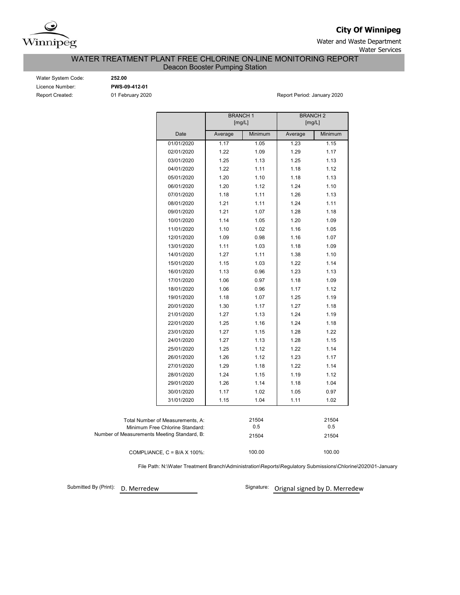

**City Of Winnipeg**

Water and Waste Department Water Services

WATER TREATMENT PLANT FREE CHLORINE ON-LINE MONITORING REPORT

Deacon Booster Pumping Station

Water System Code: **252.00** Licence Number: **PWS-09-412-01**

Report Created: 01 February 2020 Report Period: January 2020

|                                             | <b>BRANCH1</b><br>[mg/L] |         | <b>BRANCH 2</b><br>[mg/L] |         |
|---------------------------------------------|--------------------------|---------|---------------------------|---------|
| Date                                        | Average                  | Minimum | Average                   | Minimum |
| 01/01/2020                                  | 1.17                     | 1.05    | 1.23                      | 1.15    |
| 02/01/2020                                  | 1.22                     | 1.09    | 1.29                      | 1.17    |
| 03/01/2020                                  | 1.25                     | 1.13    | 1.25                      | 1.13    |
| 04/01/2020                                  | 1.22                     | 1.11    | 1.18                      | 1.12    |
| 05/01/2020                                  | 1.20                     | 1.10    | 1.18                      | 1.13    |
| 06/01/2020                                  | 1.20                     | 1.12    | 1.24                      | 1.10    |
| 07/01/2020                                  | 1.18                     | 1.11    | 1.26                      | 1.13    |
| 08/01/2020                                  | 1.21                     | 1.11    | 1.24                      | 1.11    |
| 09/01/2020                                  | 1.21                     | 1.07    | 1.28                      | 1.18    |
| 10/01/2020                                  | 1.14                     | 1.05    | 1.20                      | 1.09    |
| 11/01/2020                                  | 1.10                     | 1.02    | 1.16                      | 1.05    |
| 12/01/2020                                  | 1.09                     | 0.98    | 1.16                      | 1.07    |
| 13/01/2020                                  | 1.11                     | 1.03    | 1.18                      | 1.09    |
| 14/01/2020                                  | 1.27                     | 1.11    | 1.38                      | 1.10    |
| 15/01/2020                                  | 1.15                     | 1.03    | 1.22                      | 1.14    |
| 16/01/2020                                  | 1.13                     | 0.96    | 1.23                      | 1.13    |
| 17/01/2020                                  | 1.06                     | 0.97    | 1.18                      | 1.09    |
| 18/01/2020                                  | 1.06                     | 0.96    | 1.17                      | 1.12    |
| 19/01/2020                                  | 1.18                     | 1.07    | 1.25                      | 1.19    |
| 20/01/2020                                  | 1.30                     | 1.17    | 1.27                      | 1.18    |
| 21/01/2020                                  | 1.27                     | 1.13    | 1.24                      | 1.19    |
| 22/01/2020                                  | 1.25                     | 1.16    | 1.24                      | 1.18    |
| 23/01/2020                                  | 1.27                     | 1.15    | 1.28                      | 1.22    |
| 24/01/2020                                  | 1.27                     | 1.13    | 1.28                      | 1.15    |
| 25/01/2020                                  | 1.25                     | 1.12    | 1.22                      | 1.14    |
| 26/01/2020                                  | 1.26                     | 1.12    | 1.23                      | 1.17    |
| 27/01/2020                                  | 1.29                     | 1.18    | 1.22                      | 1.14    |
| 28/01/2020                                  | 1.24                     | 1.15    | 1.19                      | 1.12    |
| 29/01/2020                                  | 1.26                     | 1.14    | 1.18                      | 1.04    |
| 30/01/2020                                  | 1.17                     | 1.02    | 1.05                      | 0.97    |
| 31/01/2020                                  | 1.15                     | 1.04    | 1.11                      | 1.02    |
|                                             |                          |         |                           |         |
| Total Number of Measurements, A:            |                          | 21504   |                           | 21504   |
| Minimum Free Chlorine Standard:             |                          | 0.5     |                           | 0.5     |
| Number of Measurements Meeting Standard, B: |                          | 21504   |                           | 21504   |
| COMPLIANCE, $C = B/A \times 100\%$ :        |                          | 100.00  |                           | 100.00  |

File Path: N:\Water Treatment Branch\Administration\Reports\Regulatory Submissions\Chlorine\2020\01-January

Submitted By (Print): D. Merredew

Signature: Orignal signed by D. Merredew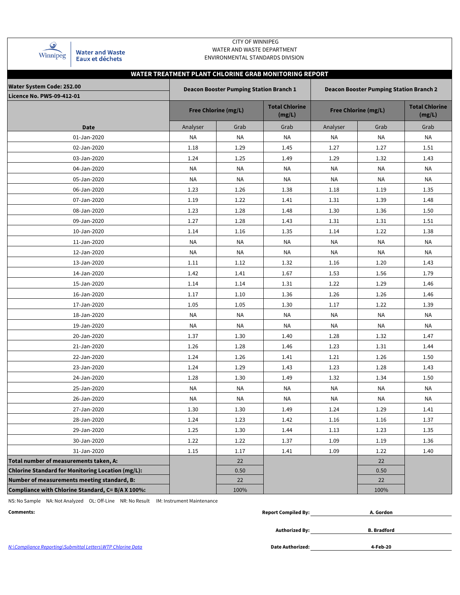| Winnipeg |  |
|----------|--|

**Water and Waste** Eaux et déchets

### CITY OF WINNIPEG WATER AND WASTE DEPARTMENT ENVIRONMENTAL STANDARDS DIVISION

# **WATER TREATMENT PLANT CHLORINE GRAB MONITORING REPORT**

| Water System Code: 252.00                                |          | <b>Deacon Booster Pumping Station Branch 1</b> |                                 | <b>Deacon Booster Pumping Station Branch 2</b> |                                 |           |  |  |  |  |
|----------------------------------------------------------|----------|------------------------------------------------|---------------------------------|------------------------------------------------|---------------------------------|-----------|--|--|--|--|
| Licence No. PWS-09-412-01                                |          |                                                |                                 |                                                |                                 |           |  |  |  |  |
|                                                          |          | <b>Free Chlorine (mg/L)</b>                    | <b>Total Chlorine</b><br>(mg/L) | <b>Free Chlorine (mg/L)</b>                    | <b>Total Chlorine</b><br>(mg/L) |           |  |  |  |  |
| <b>Date</b>                                              | Analyser | Grab                                           | Grab                            | Analyser                                       | Grab                            | Grab      |  |  |  |  |
| 01-Jan-2020                                              | NA       | NA                                             | NA                              | NA                                             | <b>NA</b>                       | NA        |  |  |  |  |
| 02-Jan-2020                                              | 1.18     | 1.29                                           | 1.45                            | 1.27                                           | 1.27                            | 1.51      |  |  |  |  |
| 03-Jan-2020                                              | 1.24     | 1.25                                           | 1.49                            | 1.29                                           | 1.32                            | 1.43      |  |  |  |  |
| 04-Jan-2020                                              | NA       | NA                                             | NA                              | NA                                             | NA                              | <b>NA</b> |  |  |  |  |
| 05-Jan-2020                                              | NA       | NA                                             | NA                              | ΝA                                             | <b>NA</b>                       | <b>NA</b> |  |  |  |  |
| 06-Jan-2020                                              | 1.23     | 1.26                                           | 1.38                            | 1.18                                           | 1.19                            | 1.35      |  |  |  |  |
| 07-Jan-2020                                              | 1.19     | 1.22                                           | 1.41                            | 1.31                                           | 1.39                            | 1.48      |  |  |  |  |
| 08-Jan-2020                                              | 1.23     | 1.28                                           | 1.48                            | 1.30                                           | 1.36                            | 1.50      |  |  |  |  |
| 09-Jan-2020                                              | 1.27     | 1.28                                           | 1.43                            | 1.31                                           | 1.31                            | 1.51      |  |  |  |  |
| 10-Jan-2020                                              | 1.14     | 1.16                                           | 1.35                            | 1.14                                           | 1.22                            | 1.38      |  |  |  |  |
| 11-Jan-2020                                              | NA       | NA                                             | NA                              | ΝA                                             | <b>NA</b>                       | ΝA        |  |  |  |  |
| 12-Jan-2020                                              | NA       | ΝA                                             | NA                              | ΝA                                             | ΝA                              | ΝA        |  |  |  |  |
| 13-Jan-2020                                              | 1.11     | 1.12                                           | 1.32                            | 1.16                                           | 1.20                            | 1.43      |  |  |  |  |
| 14-Jan-2020                                              | 1.42     | 1.41                                           | 1.67                            | 1.53                                           | 1.56                            | 1.79      |  |  |  |  |
| 15-Jan-2020                                              | 1.14     | 1.14                                           | 1.31                            | 1.22                                           | 1.29                            | 1.46      |  |  |  |  |
| 16-Jan-2020                                              | 1.17     | 1.10                                           | 1.36                            | 1.26                                           | 1.26                            | 1.46      |  |  |  |  |
| 17-Jan-2020                                              | 1.05     | 1.05                                           | 1.30                            | 1.17                                           | 1.22                            | 1.39      |  |  |  |  |
| 18-Jan-2020                                              | NA       | NA                                             | NA                              | NA                                             | ΝA                              | ΝA        |  |  |  |  |
| 19-Jan-2020                                              | NA       | <b>NA</b>                                      | NA                              | NA                                             | <b>NA</b>                       | ΝA        |  |  |  |  |
| 20-Jan-2020                                              | 1.37     | 1.30                                           | 1.40                            | 1.28                                           | 1.32                            | 1.47      |  |  |  |  |
| 21-Jan-2020                                              | 1.26     | 1.28                                           | 1.46                            | 1.23                                           | 1.31                            | 1.44      |  |  |  |  |
| 22-Jan-2020                                              | 1.24     | 1.26                                           | 1.41                            | 1.21                                           | 1.26                            | 1.50      |  |  |  |  |
| 23-Jan-2020                                              | 1.24     | 1.29                                           | 1.43                            | 1.23                                           | 1.28                            | 1.43      |  |  |  |  |
| 24-Jan-2020                                              | 1.28     | 1.30                                           | 1.49                            | 1.32                                           | 1.34                            | 1.50      |  |  |  |  |
| 25-Jan-2020                                              | NA       | NA                                             | NA                              | ΝA                                             | NA                              | ΝA        |  |  |  |  |
| 26-Jan-2020                                              | NA       | NA                                             | NA                              | NA                                             | NA                              | NA        |  |  |  |  |
| 27-Jan-2020                                              | 1.30     | 1.30                                           | 1.49                            | 1.24                                           | 1.29                            | 1.41      |  |  |  |  |
| 28-Jan-2020                                              | 1.24     | 1.23                                           | 1.42                            | 1.16                                           | 1.16                            | 1.37      |  |  |  |  |
| 29-Jan-2020                                              | 1.25     | 1.30                                           | 1.44                            | 1.13                                           | 1.23                            | 1.35      |  |  |  |  |
| 30-Jan-2020                                              | 1.22     | 1.22                                           | 1.37                            | 1.09                                           | 1.19                            | 1.36      |  |  |  |  |
| 31-Jan-2020                                              | 1.15     | 1.17                                           | 1.41                            | 1.09                                           | 1.22                            | 1.40      |  |  |  |  |
| Total number of measurements taken, A:                   |          | 22                                             |                                 |                                                | 22                              |           |  |  |  |  |
| <b>Chlorine Standard for Monitoring Location (mg/L):</b> |          | 0.50                                           |                                 |                                                | 0.50                            |           |  |  |  |  |
| Number of measurements meeting standard, B:              |          | 22                                             |                                 |                                                | 22                              |           |  |  |  |  |
| Compliance with Chlorine Standard, C= B/A X 100%:        |          | 100%                                           |                                 |                                                | 100%                            |           |  |  |  |  |

NS: No Sample NA: Not Analyzed OL: Off-Line NR: No Result IM: Instrument Maintenance

| Comments: | <b>Report Compiled By:</b> | . Gordon |
|-----------|----------------------------|----------|
|           |                            |          |

**Authorized By:**

**B. Bradford**

N:\Compliance Reporting\Submittal Letters\WTP Chlorine Data **Date Authorized:**

**4-Feb-20**